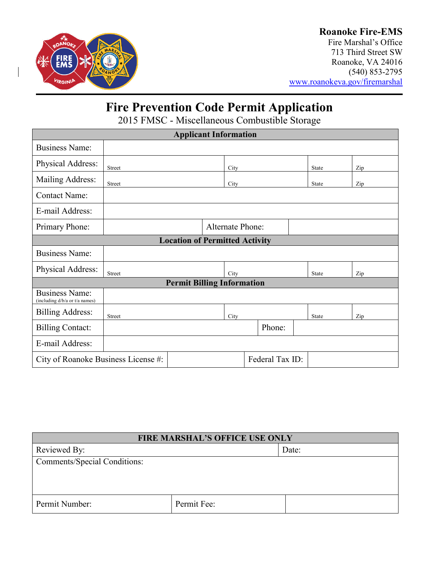

### **Roanoke Fire-EMS**

Fire Marshal's Office 713 Third Street SW Roanoke, VA 24016 (540) 853-2795 [www.roanokeva.gov/firemarshal](http://www.roanokeva.gov/firemarshal)

# **Fire Prevention Code Permit Application**

2015 FMSC - Miscellaneous Combustible Storage

| <b>Applicant Information</b>                            |                         |  |      |        |  |              |     |  |  |
|---------------------------------------------------------|-------------------------|--|------|--------|--|--------------|-----|--|--|
| <b>Business Name:</b>                                   |                         |  |      |        |  |              |     |  |  |
| Physical Address:                                       | Street                  |  | City |        |  | <b>State</b> | Zip |  |  |
| Mailing Address:                                        | Street                  |  | City |        |  | State        | Zip |  |  |
| <b>Contact Name:</b>                                    |                         |  |      |        |  |              |     |  |  |
| E-mail Address:                                         |                         |  |      |        |  |              |     |  |  |
| Primary Phone:                                          | <b>Alternate Phone:</b> |  |      |        |  |              |     |  |  |
| <b>Location of Permitted Activity</b>                   |                         |  |      |        |  |              |     |  |  |
| <b>Business Name:</b>                                   |                         |  |      |        |  |              |     |  |  |
| Physical Address:                                       | <b>Street</b>           |  | City |        |  | State        | Zip |  |  |
| <b>Permit Billing Information</b>                       |                         |  |      |        |  |              |     |  |  |
| <b>Business Name:</b><br>(including d/b/a or t/a names) |                         |  |      |        |  |              |     |  |  |
| <b>Billing Address:</b>                                 | Street                  |  | City |        |  | State        | Zip |  |  |
| <b>Billing Contact:</b>                                 |                         |  |      | Phone: |  |              |     |  |  |
| E-mail Address:                                         |                         |  |      |        |  |              |     |  |  |
| Federal Tax ID:<br>City of Roanoke Business License #:  |                         |  |      |        |  |              |     |  |  |

| <b>FIRE MARSHAL'S OFFICE USE ONLY</b> |             |       |  |  |
|---------------------------------------|-------------|-------|--|--|
| Reviewed By:                          |             | Date: |  |  |
| Comments/Special Conditions:          |             |       |  |  |
|                                       |             |       |  |  |
|                                       |             |       |  |  |
| Permit Number:                        | Permit Fee: |       |  |  |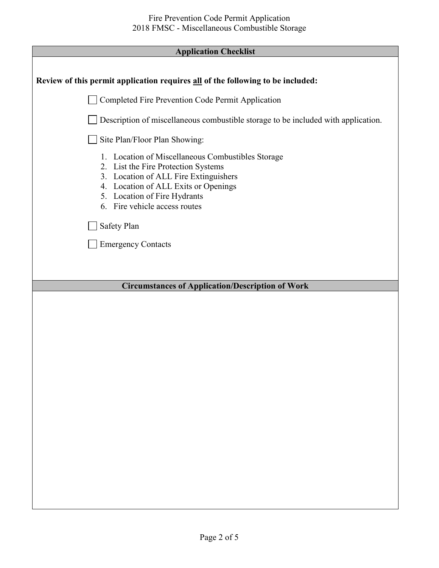| <b>Application Checklist</b>                                                                                                                                                                                                                                                                  |  |  |  |
|-----------------------------------------------------------------------------------------------------------------------------------------------------------------------------------------------------------------------------------------------------------------------------------------------|--|--|--|
|                                                                                                                                                                                                                                                                                               |  |  |  |
| Review of this permit application requires all of the following to be included:                                                                                                                                                                                                               |  |  |  |
| Completed Fire Prevention Code Permit Application                                                                                                                                                                                                                                             |  |  |  |
| Description of miscellaneous combustible storage to be included with application.                                                                                                                                                                                                             |  |  |  |
| Site Plan/Floor Plan Showing:                                                                                                                                                                                                                                                                 |  |  |  |
| 1. Location of Miscellaneous Combustibles Storage<br>2. List the Fire Protection Systems<br>3. Location of ALL Fire Extinguishers<br>4. Location of ALL Exits or Openings<br>5. Location of Fire Hydrants<br>6. Fire vehicle access routes<br><b>Safety Plan</b><br><b>Emergency Contacts</b> |  |  |  |
|                                                                                                                                                                                                                                                                                               |  |  |  |
|                                                                                                                                                                                                                                                                                               |  |  |  |
| <b>Circumstances of Application/Description of Work</b>                                                                                                                                                                                                                                       |  |  |  |
|                                                                                                                                                                                                                                                                                               |  |  |  |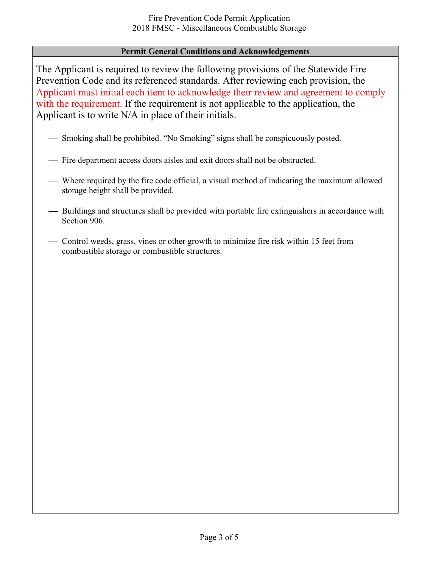#### **Permit General Conditions and Acknowledgements**

The Applicant is required to review the following provisions of the Statewide Fire Prevention Code and its referenced standards. After reviewing each provision, the Applicant must initial each item to acknowledge their review and agreement to comply with the requirement. If the requirement is not applicable to the application, the Applicant is to write N/A in place of their initials.

- Smoking shall be prohibited. "No Smoking" signs shall be conspicuously posted.
- Fire department access doors aisles and exit doors shall not be obstructed.
- Where required by the fire code official, a visual method of indicating the maximum allowed storage height shall be provided.
- Buildings and structures shall be provided with portable fire extinguishers in accordance with Section 906.
- Control weeds, grass, vines or other growth to minimize fire risk within 15 feet from combustible storage or combustible structures.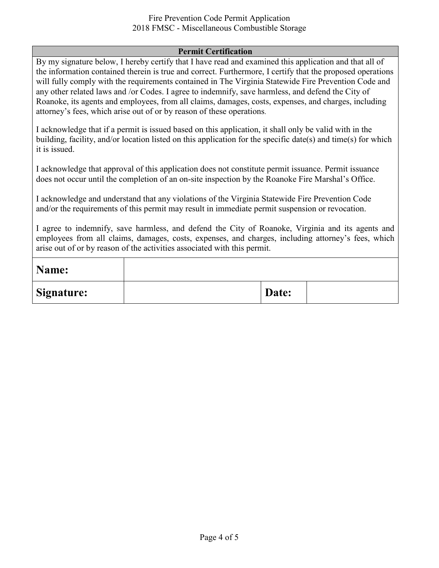#### Fire Prevention Code Permit Application 2018 FMSC - Miscellaneous Combustible Storage

#### **Permit Certification**

By my signature below, I hereby certify that I have read and examined this application and that all of the information contained therein is true and correct. Furthermore, I certify that the proposed operations will fully comply with the requirements contained in The Virginia Statewide Fire Prevention Code and any other related laws and /or Codes. I agree to indemnify, save harmless, and defend the City of Roanoke, its agents and employees, from all claims, damages, costs, expenses, and charges, including attorney's fees, which arise out of or by reason of these operations.

I acknowledge that if a permit is issued based on this application, it shall only be valid with in the building, facility, and/or location listed on this application for the specific date(s) and time(s) for which it is issued.

I acknowledge that approval of this application does not constitute permit issuance. Permit issuance does not occur until the completion of an on-site inspection by the Roanoke Fire Marshal's Office.

I acknowledge and understand that any violations of the Virginia Statewide Fire Prevention Code and/or the requirements of this permit may result in immediate permit suspension or revocation.

I agree to indemnify, save harmless, and defend the City of Roanoke, Virginia and its agents and employees from all claims, damages, costs, expenses, and charges, including attorney's fees, which arise out of or by reason of the activities associated with this permit.

| Name:             |       |  |
|-------------------|-------|--|
| <b>Signature:</b> | Date: |  |